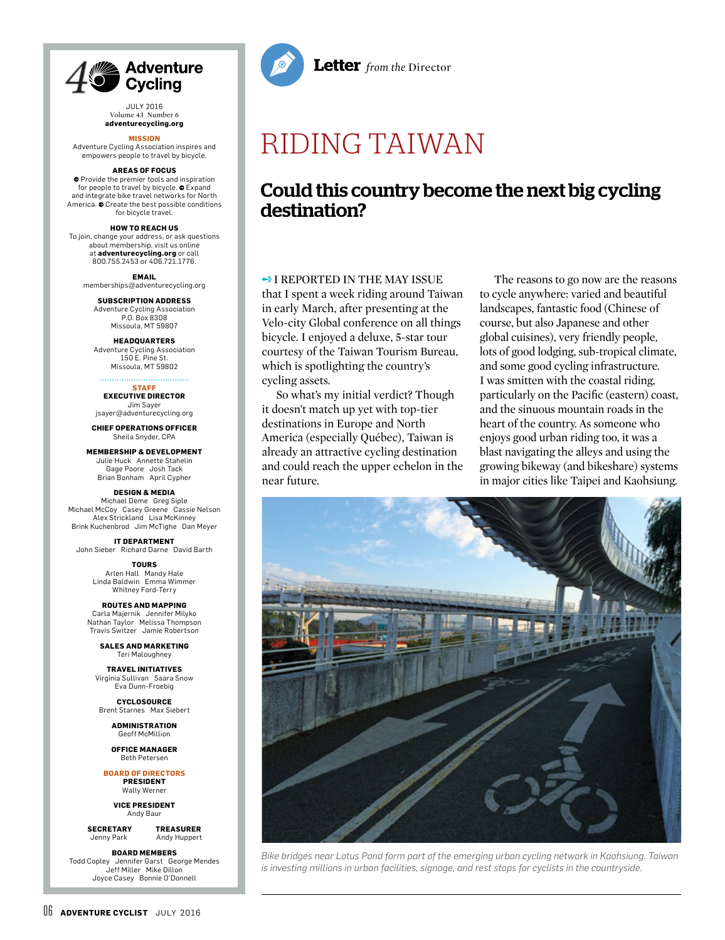

JULY 2016 Volume 43 Number 6 **adventurecycling.org**

#### **MISSION**

Adventure Cycling Association inspires and empowers people to travel by bicycle.

#### **AREAS OF FOCUS**

**O** Provide the premier tools and inspiration for people to travel by bicycle.  $\bullet$  Expand and integrate bike travel networks for North America.  $\bullet$  Create the best possible conditions for bicycle travel.

#### **HOW TO REACH US**

To join, change your address, or ask questions about membership, visit us online at **adventurecycling.org** or call 800.755.2453 or 406.721.1776.

**EMAIL** memberships@adventurecycling.org

**SUBSCRIPTION ADDRESS** Adventure Cycling Association P.O. Box 8308 Missoula, MT 59807

#### **HEADQUARTERS** Adventure Cycling Association 150 E. Pine St. Missoula, MT 59802

#### **STAFF**

**EXECUTIVE DIRECTOR** Jim Sayer jsayer@adventurecycling.org

**CHIEF OPERATIONS OFFICER** Sheila Snyder, CPA

**MEMBERSHIP & DEVELOPMENT** Julie Huck Annette Stahelin Gage Poore Josh Tack Brian Bonham April Cypher

### **DESIGN & MEDIA**

Michael Deme Greg Siple Michael McCoy Casey Greene Cassie Nelson Alex Strickland Lisa McKinney Brink Kuchenbrod Jim McTighe Dan Meyer

**IT DEPARTMENT** John Sieber Richard Darne David Barth

> **TOURS** Arlen Hall Mandy Hale Linda Baldwin Emma Wimmer Whitney Ford-Terry

**ROUTES AND MAPPING** Carla Majernik Jennifer Milyko Nathan Taylor Melissa Thompson Travis Switzer Jamie Robertson

**SALES AND MARKETING** Teri Maloughney

**TRAVEL INITIATIVES** Virginia Sullivan Saara Snow Eva Dunn-Froebig

**CYCLOSOURCE** Brent Starnes Max Siebert

> **ADMINISTRATION** Geoff McMillion

**OFFICE MANAGER** Beth Petersen

**BOARD OF DIRECTORS PRESIDENT** Wally Werner

**VICE PRESIDENT** Andy Baur

**SECRETARY TREASURER** Jenny Park Andy Huppert

**BOARD MEMBERS**

Todd Copley Jennifer Garst George Mendes Jeff Miller Mike Dillon Joyce Casey Bonnie O'Donnell



# RIDING TAIWAN

# Could this country become the next big cycling destination?

## **→ I REPORTED IN THE MAY ISSUE**

that I spent a week riding around Taiwan in early March, after presenting at the Velo-city Global conference on all things bicycle. I enjoyed a deluxe, 5-star tour courtesy of the Taiwan Tourism Bureau, which is spotlighting the country's cycling assets.

So what's my initial verdict? Though it doesn't match up yet with top-tier destinations in Europe and North America (especially Québec), Taiwan is already an attractive cycling destination and could reach the upper echelon in the near future.

The reasons to go now are the reasons to cycle anywhere: varied and beautiful landscapes, fantastic food (Chinese of course, but also Japanese and other global cuisines), very friendly people, lots of good lodging, sub-tropical climate, and some good cycling infrastructure. I was smitten with the coastal riding, particularly on the Pacific (eastern) coast, and the sinuous mountain roads in the heart of the country. As someone who enjoys good urban riding too, it was a blast navigating the alleys and using the growing bikeway (and bikeshare) systems in major cities like Taipei and Kaohsiung.



*Bike bridges near Lotus Pond form part of the emerging urban cycling network in Kaohsiung. Taiwan is investing millions in urban facilities, signage, and rest stops for cyclists in the countryside.*